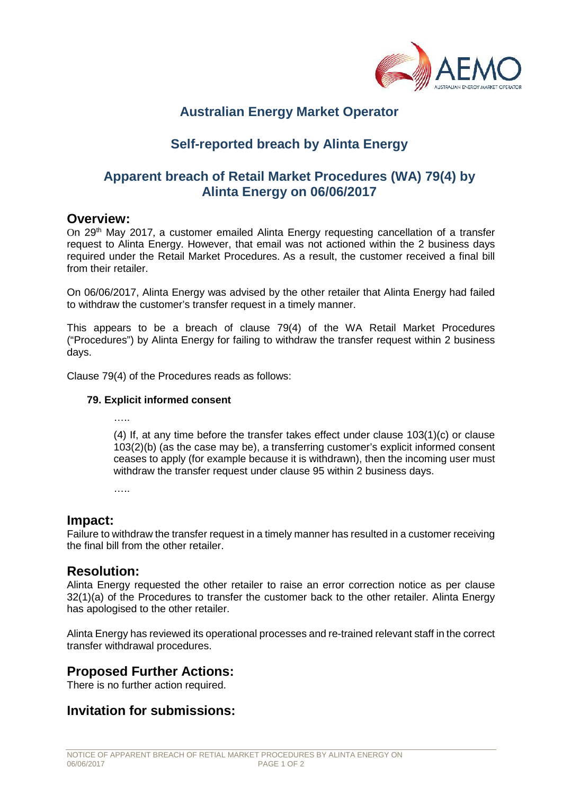

# **Australian Energy Market Operator**

# **Self-reported breach by Alinta Energy**

## **Apparent breach of Retail Market Procedures (WA) 79(4) by Alinta Energy on 06/06/2017**

#### **Overview:**

On 29<sup>th</sup> May 2017, a customer emailed Alinta Energy requesting cancellation of a transfer request to Alinta Energy. However, that email was not actioned within the 2 business days required under the Retail Market Procedures. As a result, the customer received a final bill from their retailer.

On 06/06/2017, Alinta Energy was advised by the other retailer that Alinta Energy had failed to withdraw the customer's transfer request in a timely manner.

This appears to be a breach of clause 79(4) of the WA Retail Market Procedures ("Procedures") by Alinta Energy for failing to withdraw the transfer request within 2 business days.

Clause 79(4) of the Procedures reads as follows:

#### **79. Explicit informed consent**

…<br>……

(4) If, at any time before the transfer takes effect under clause 103(1)(c) or clause 103(2)(b) (as the case may be), a transferring customer's explicit informed consent ceases to apply (for example because it is withdrawn), then the incoming user must withdraw the transfer request under clause 95 within 2 business days.

….

### **Impact:**

Failure to withdraw the transfer request in a timely manner has resulted in a customer receiving the final bill from the other retailer.

### **Resolution:**

Alinta Energy requested the other retailer to raise an error correction notice as per clause 32(1)(a) of the Procedures to transfer the customer back to the other retailer. Alinta Energy has apologised to the other retailer.

Alinta Energy has reviewed its operational processes and re-trained relevant staff in the correct transfer withdrawal procedures.

### **Proposed Further Actions:**

There is no further action required.

### **Invitation for submissions:**